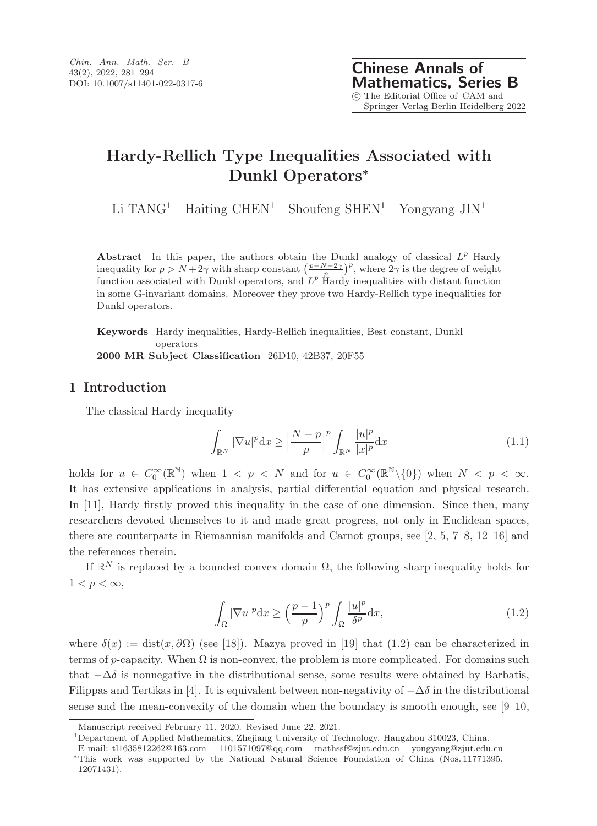Li TANG<sup>1</sup> Haiting CHEN<sup>1</sup> Shoufeng SHEN<sup>1</sup> Yongyang  $JIN<sup>1</sup>$ 

Abstract In this paper, the authors obtain the Dunkl analogy of classical  $L^p$  Hardy inequality for  $p > N + 2\gamma$  with sharp constant  $\left(\frac{p-N-2\gamma}{p}\right)^p$ , where  $2\gamma$  is the degree of weight function associated with Dunkl operators, and  $L^p$  Hardy inequalities with distant function in some G-invariant domains. Moreover they prove two Hardy-Rellich type inequalities for Dunkl operators.

Keywords Hardy inequalities, Hardy-Rellich inequalities, Best constant, Dunkl operators 2000 MR Subject Classification 26D10, 42B37, 20F55

## 1 Introduction

The classical Hardy inequality

$$
\int_{\mathbb{R}^N} |\nabla u|^p \, dx \ge \left| \frac{N-p}{p} \right|^p \int_{\mathbb{R}^N} \frac{|u|^p}{|x|^p} \, dx \tag{1.1}
$$

holds for  $u \in C_0^{\infty}(\mathbb{R}^{\mathbb{N}})$  when  $1 \le p \le N$  and for  $u \in C_0^{\infty}(\mathbb{R}^{\mathbb{N}}\setminus\{0\})$  when  $N \le p \le \infty$ . It has extensive applications in analysis, partial differential equation and physical research. In [11], Hardy firstly proved this inequality in the case of one dimension. Since then, many researchers devoted themselves to it and made great progress, not only in Euclidean spaces, there are counterparts in Riemannian manifolds and Carnot groups, see [2, 5, 7–8, 12–16] and the references therein.

If  $\mathbb{R}^N$  is replaced by a bounded convex domain  $\Omega$ , the following sharp inequality holds for  $1 < p < \infty$ ,

$$
\int_{\Omega} |\nabla u|^p \, \mathrm{d}x \ge \left(\frac{p-1}{p}\right)^p \int_{\Omega} \frac{|u|^p}{\delta^p} \, \mathrm{d}x,\tag{1.2}
$$

where  $\delta(x) := \text{dist}(x, \partial \Omega)$  (see [18]). Mazya proved in [19] that (1.2) can be characterized in terms of p-capacity. When  $\Omega$  is non-convex, the problem is more complicated. For domains such that  $-\Delta\delta$  is nonnegative in the distributional sense, some results were obtained by Barbatis, Filippas and Tertikas in [4]. It is equivalent between non-negativity of  $-\Delta\delta$  in the distributional sense and the mean-convexity of the domain when the boundary is smooth enough, see  $[9-10,$ 

<sup>1</sup>Department of Applied Mathematics, Zhejiang University of Technology, Hangzhou 310023, China.

Manuscript received February 11, 2020. Revised June 22, 2021.

E-mail: tl1635812262@163.com 1101571097@qq.com mathssf@zjut.edu.cn yongyang@zjut.edu.cn <sup>∗</sup>This work was supported by the National Natural Science Foundation of China (Nos. 11771395, 12071431).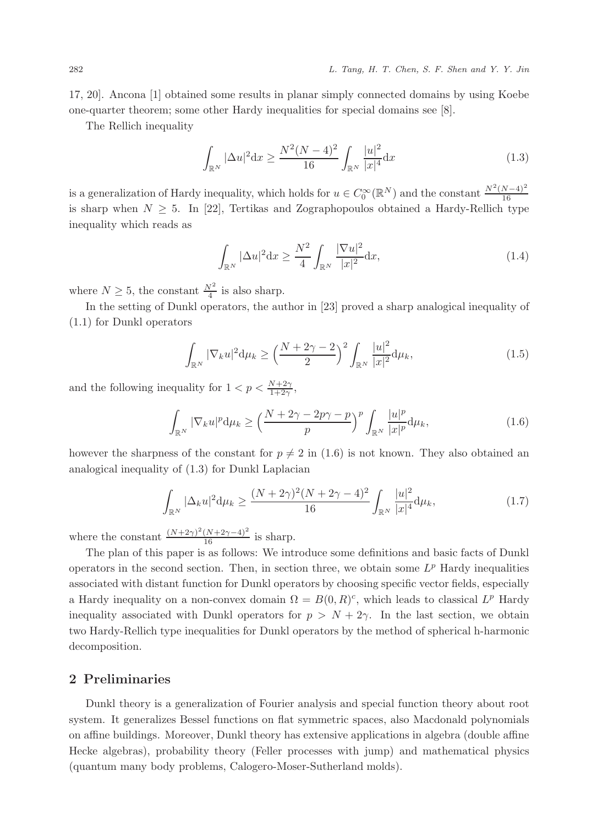17, 20]. Ancona [1] obtained some results in planar simply connected domains by using Koebe one-quarter theorem; some other Hardy inequalities for special domains see [8].

The Rellich inequality

$$
\int_{\mathbb{R}^N} |\Delta u|^2 \, \mathrm{d}x \ge \frac{N^2 (N-4)^2}{16} \int_{\mathbb{R}^N} \frac{|u|^2}{|x|^4} \, \mathrm{d}x \tag{1.3}
$$

is a generalization of Hardy inequality, which holds for  $u \in C_0^{\infty}(\mathbb{R}^N)$  and the constant  $\frac{N^2(N-4)^2}{16}$ 16 is sharp when  $N \geq 5$ . In [22], Tertikas and Zographopoulos obtained a Hardy-Rellich type inequality which reads as

$$
\int_{\mathbb{R}^N} |\Delta u|^2 \mathrm{d}x \ge \frac{N^2}{4} \int_{\mathbb{R}^N} \frac{|\nabla u|^2}{|x|^2} \mathrm{d}x,\tag{1.4}
$$

where  $N \geq 5$ , the constant  $\frac{N^2}{4}$  is also sharp.

In the setting of Dunkl operators, the author in [23] proved a sharp analogical inequality of (1.1) for Dunkl operators

$$
\int_{\mathbb{R}^N} |\nabla_k u|^2 \, \mathrm{d}\mu_k \ge \left(\frac{N + 2\gamma - 2}{2}\right)^2 \int_{\mathbb{R}^N} \frac{|u|^2}{|x|^2} \, \mathrm{d}\mu_k,\tag{1.5}
$$

and the following inequality for  $1 < p < \frac{N+2\gamma}{1+2\gamma}$ ,

$$
\int_{\mathbb{R}^N} |\nabla_k u|^p \, \mathrm{d}\mu_k \ge \left(\frac{N+2\gamma-2p\gamma-p}{p}\right)^p \int_{\mathbb{R}^N} \frac{|u|^p}{|x|^p} \, \mathrm{d}\mu_k,\tag{1.6}
$$

however the sharpness of the constant for  $p \neq 2$  in (1.6) is not known. They also obtained an analogical inequality of (1.3) for Dunkl Laplacian

$$
\int_{\mathbb{R}^N} |\Delta_k u|^2 \, \mathrm{d}\mu_k \ge \frac{(N+2\gamma)^2 (N+2\gamma-4)^2}{16} \int_{\mathbb{R}^N} \frac{|u|^2}{|x|^4} \, \mathrm{d}\mu_k,\tag{1.7}
$$

where the constant  $\frac{(N+2\gamma)^2(N+2\gamma-4)^2}{16}$  is sharp.

The plan of this paper is as follows: We introduce some definitions and basic facts of Dunkl operators in the second section. Then, in section three, we obtain some  $L^p$  Hardy inequalities associated with distant function for Dunkl operators by choosing specific vector fields, especially a Hardy inequality on a non-convex domain  $\Omega = B(0, R)^c$ , which leads to classical  $L^p$  Hardy inequality associated with Dunkl operators for  $p > N + 2\gamma$ . In the last section, we obtain two Hardy-Rellich type inequalities for Dunkl operators by the method of spherical h-harmonic decomposition.

#### 2 Preliminaries

Dunkl theory is a generalization of Fourier analysis and special function theory about root system. It generalizes Bessel functions on flat symmetric spaces, also Macdonald polynomials on affine buildings. Moreover, Dunkl theory has extensive applications in algebra (double affine Hecke algebras), probability theory (Feller processes with jump) and mathematical physics (quantum many body problems, Calogero-Moser-Sutherland molds).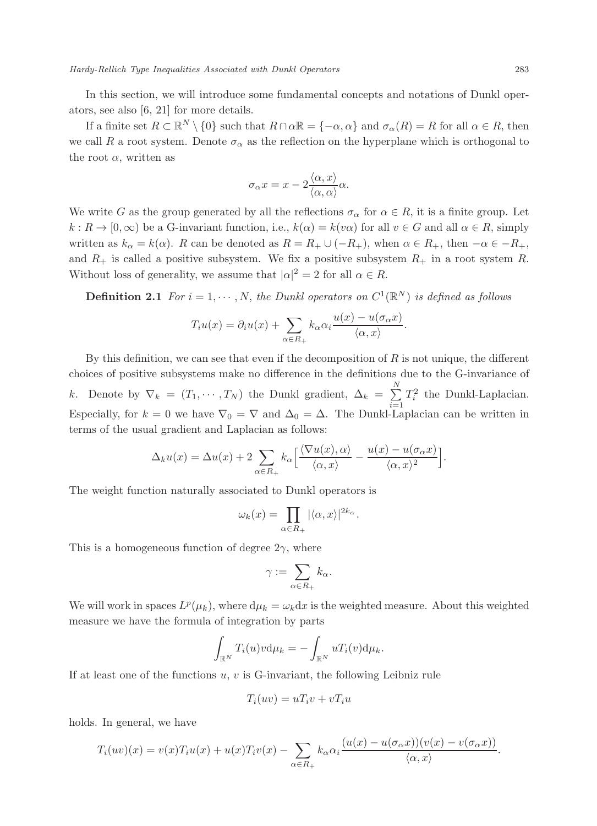In this section, we will introduce some fundamental concepts and notations of Dunkl operators, see also [6, 21] for more details.

If a finite set  $R \subset \mathbb{R}^N \setminus \{0\}$  such that  $R \cap \alpha \mathbb{R} = \{-\alpha, \alpha\}$  and  $\sigma_\alpha(R) = R$  for all  $\alpha \in R$ , then we call R a root system. Denote  $\sigma_{\alpha}$  as the reflection on the hyperplane which is orthogonal to the root  $\alpha$ , written as

$$
\sigma_{\alpha} x = x - 2 \frac{\langle \alpha, x \rangle}{\langle \alpha, \alpha \rangle} \alpha.
$$

We write G as the group generated by all the reflections  $\sigma_{\alpha}$  for  $\alpha \in R$ , it is a finite group. Let  $k: \mathbb{R} \to [0, \infty)$  be a G-invariant function, i.e.,  $k(\alpha) = k(v\alpha)$  for all  $v \in G$  and all  $\alpha \in \mathbb{R}$ , simply written as  $k_{\alpha} = k(\alpha)$ . R can be denoted as  $R = R_+ \cup (-R_+)$ , when  $\alpha \in R_+$ , then  $-\alpha \in -R_+$ , and  $R_+$  is called a positive subsystem. We fix a positive subsystem  $R_+$  in a root system R. Without loss of generality, we assume that  $|\alpha|^2 = 2$  for all  $\alpha \in R$ .

**Definition 2.1** For  $i = 1, \dots, N$ , the Dunkl operators on  $C^1(\mathbb{R}^N)$  is defined as follows

$$
T_i u(x) = \partial_i u(x) + \sum_{\alpha \in R_+} k_\alpha \alpha_i \frac{u(x) - u(\sigma_\alpha x)}{\langle \alpha, x \rangle}.
$$

By this definition, we can see that even if the decomposition of  $R$  is not unique, the different choices of positive subsystems make no difference in the definitions due to the G-invariance of k. Denote by  $\nabla_k = (T_1, \dots, T_N)$  the Dunkl gradient,  $\Delta_k = \sum_{i=1}^N$  $i=1$  $T_i^2$  the Dunkl-Laplacian. Especially, for  $k = 0$  we have  $\nabla_0 = \nabla$  and  $\Delta_0 = \Delta$ . The Dunkl-Laplacian can be written in terms of the usual gradient and Laplacian as follows:

$$
\Delta_k u(x) = \Delta u(x) + 2 \sum_{\alpha \in R_+} k_\alpha \left[ \frac{\langle \nabla u(x), \alpha \rangle}{\langle \alpha, x \rangle} - \frac{u(x) - u(\sigma_\alpha x)}{\langle \alpha, x \rangle^2} \right].
$$

The weight function naturally associated to Dunkl operators is

$$
\omega_k(x) = \prod_{\alpha \in R_+} |\langle \alpha, x \rangle|^{2k_{\alpha}}.
$$

This is a homogeneous function of degree  $2\gamma$ , where

$$
\gamma:=\sum_{\alpha\in R_+}k_\alpha.
$$

We will work in spaces  $L^p(\mu_k)$ , where  $d\mu_k = \omega_k dx$  is the weighted measure. About this weighted measure we have the formula of integration by parts

$$
\int_{\mathbb{R}^N} T_i(u)v \mathrm{d}\mu_k = -\int_{\mathbb{R}^N} u T_i(v) \mathrm{d}\mu_k.
$$

If at least one of the functions  $u, v$  is G-invariant, the following Leibniz rule

$$
T_i(uv) = uT_i v + vT_i u
$$

holds. In general, we have

$$
T_i(uv)(x) = v(x)T_iu(x) + u(x)T_iv(x) - \sum_{\alpha \in R_+} k_{\alpha} \alpha_i \frac{(u(x) - u(\sigma_{\alpha}x))(v(x) - v(\sigma_{\alpha}x))}{\langle \alpha, x \rangle}.
$$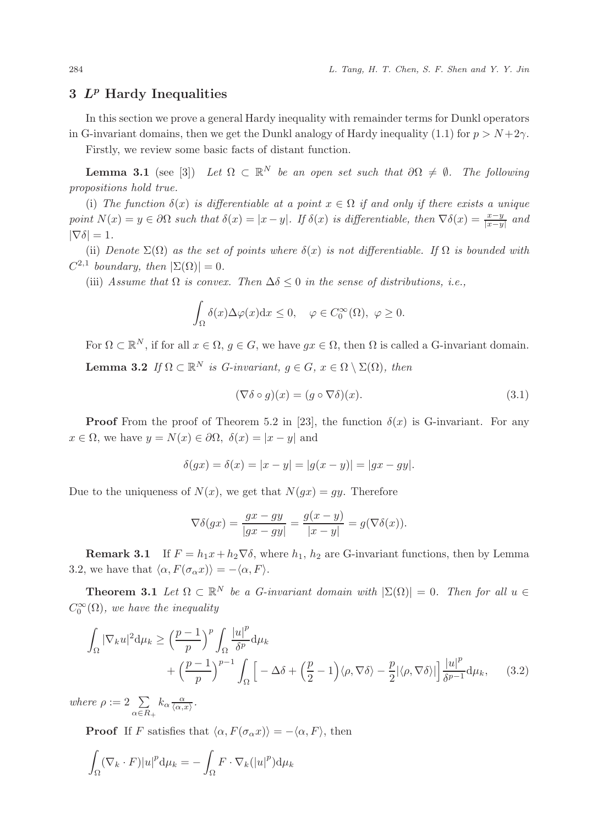## $3 L<sup>p</sup>$  Hardy Inequalities

In this section we prove a general Hardy inequality with remainder terms for Dunkl operators in G-invariant domains, then we get the Dunkl analogy of Hardy inequality (1.1) for  $p > N + 2\gamma$ .

Firstly, we review some basic facts of distant function.

**Lemma 3.1** (see [3]) Let  $\Omega \subset \mathbb{R}^N$  be an open set such that  $\partial \Omega \neq \emptyset$ . The following propositions hold true.

(i) The function  $\delta(x)$  is differentiable at a point  $x \in \Omega$  if and only if there exists a unique point  $N(x) = y \in \partial\Omega$  such that  $\delta(x) = |x - y|$ . If  $\delta(x)$  is differentiable, then  $\nabla \delta(x) = \frac{x - y}{|x - y|}$  and  $|\nabla \delta| = 1.$ 

(ii) Denote  $\Sigma(\Omega)$  as the set of points where  $\delta(x)$  is not differentiable. If  $\Omega$  is bounded with  $C^{2,1}$  boundary, then  $|\Sigma(\Omega)| = 0$ .

(iii) Assume that  $\Omega$  is convex. Then  $\Delta \delta \leq 0$  in the sense of distributions, i.e.,

$$
\int_{\Omega} \delta(x) \Delta \varphi(x) dx \le 0, \quad \varphi \in C_0^{\infty}(\Omega), \ \varphi \ge 0.
$$

For  $\Omega \subset \mathbb{R}^N$ , if for all  $x \in \Omega$ ,  $g \in G$ , we have  $gx \in \Omega$ , then  $\Omega$  is called a G-invariant domain. **Lemma 3.2** If  $\Omega \subset \mathbb{R}^N$  is G-invariant,  $g \in G$ ,  $x \in \Omega \setminus \Sigma(\Omega)$ , then

$$
(\nabla \delta \circ g)(x) = (g \circ \nabla \delta)(x). \tag{3.1}
$$

**Proof** From the proof of Theorem 5.2 in [23], the function  $\delta(x)$  is G-invariant. For any  $x \in \Omega$ , we have  $y = N(x) \in \partial \Omega$ ,  $\delta(x) = |x - y|$  and

$$
\delta(gx) = \delta(x) = |x - y| = |g(x - y)| = |gx - gy|.
$$

Due to the uniqueness of  $N(x)$ , we get that  $N(gx) = gy$ . Therefore

$$
\nabla \delta(gx) = \frac{gx - gy}{|gx - gy|} = \frac{g(x - y)}{|x - y|} = g(\nabla \delta(x)).
$$

**Remark 3.1** If  $F = h_1x + h_2\nabla\delta$ , where  $h_1, h_2$  are G-invariant functions, then by Lemma 3.2, we have that  $\langle \alpha, F(\sigma_{\alpha} x) \rangle = -\langle \alpha, F \rangle$ .

**Theorem 3.1** Let  $\Omega \subset \mathbb{R}^N$  be a G-invariant domain with  $|\Sigma(\Omega)| = 0$ . Then for all  $u \in$  $C_0^{\infty}(\Omega)$ , we have the inequality

$$
\int_{\Omega} |\nabla_k u|^2 d\mu_k \ge \left(\frac{p-1}{p}\right)^p \int_{\Omega} \frac{|u|^p}{\delta^p} d\mu_k + \left(\frac{p-1}{p}\right)^{p-1} \int_{\Omega} \left[ -\Delta \delta + \left(\frac{p}{2} - 1\right) \langle \rho, \nabla \delta \rangle - \frac{p}{2} |\langle \rho, \nabla \delta \rangle| \right] \frac{|u|^p}{\delta^{p-1}} d\mu_k, \quad (3.2)
$$

where  $\rho := 2 \sum$  $\sum_{\alpha \in R_+} k_{\alpha} \frac{\alpha}{\langle \alpha, x \rangle}.$ 

**Proof** If F satisfies that  $\langle \alpha, F(\sigma_\alpha x) \rangle = -\langle \alpha, F \rangle$ , then

$$
\int_{\Omega} (\nabla_k \cdot F) |u|^p \mathrm{d} \mu_k = - \int_{\Omega} F \cdot \nabla_k (|u|^p) \mathrm{d} \mu_k
$$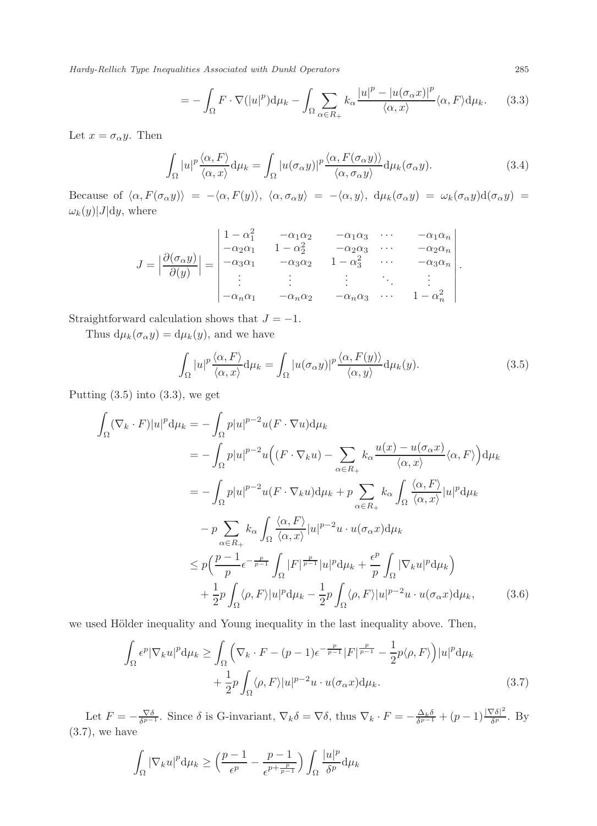$$
= -\int_{\Omega} F \cdot \nabla (|u|^p) d\mu_k - \int_{\Omega} \sum_{\alpha \in R_+} k_{\alpha} \frac{|u|^p - |u(\sigma_{\alpha} x)|^p}{\langle \alpha, x \rangle} \langle \alpha, F \rangle d\mu_k. \tag{3.3}
$$

Let  $x = \sigma_{\alpha} y$ . Then

$$
\int_{\Omega} |u|^p \frac{\langle \alpha, F \rangle}{\langle \alpha, x \rangle} d\mu_k = \int_{\Omega} |u(\sigma_{\alpha} y)|^p \frac{\langle \alpha, F(\sigma_{\alpha} y) \rangle}{\langle \alpha, \sigma_{\alpha} y \rangle} d\mu_k(\sigma_{\alpha} y).
$$
\n(3.4)

Because of  $\langle \alpha, F(\sigma_\alpha y) \rangle = -\langle \alpha, F(y) \rangle$ ,  $\langle \alpha, \sigma_\alpha y \rangle = -\langle \alpha, y \rangle$ ,  $d\mu_k(\sigma_\alpha y) = \omega_k(\sigma_\alpha y)d(\sigma_\alpha y) =$  $\omega_k(y)|J|dy$ , where

$$
J = \left| \frac{\partial(\sigma_{\alpha} y)}{\partial(y)} \right| = \begin{vmatrix} 1 - \alpha_1^2 & -\alpha_1 \alpha_2 & -\alpha_1 \alpha_3 & \cdots & -\alpha_1 \alpha_n \\ -\alpha_2 \alpha_1 & 1 - \alpha_2^2 & -\alpha_2 \alpha_3 & \cdots & -\alpha_2 \alpha_n \\ -\alpha_3 \alpha_1 & -\alpha_3 \alpha_2 & 1 - \alpha_3^2 & \cdots & -\alpha_3 \alpha_n \\ \vdots & \vdots & \vdots & \ddots & \vdots \\ -\alpha_n \alpha_1 & -\alpha_n \alpha_2 & -\alpha_n \alpha_3 & \cdots & 1 - \alpha_n^2 \end{vmatrix}.
$$

Straightforward calculation shows that  $J = -1$ .

Thus  $d\mu_k(\sigma_\alpha y) = d\mu_k(y)$ , and we have

$$
\int_{\Omega} |u|^p \frac{\langle \alpha, F \rangle}{\langle \alpha, x \rangle} d\mu_k = \int_{\Omega} |u(\sigma_{\alpha} y)|^p \frac{\langle \alpha, F(y) \rangle}{\langle \alpha, y \rangle} d\mu_k(y).
$$
\n(3.5)

Putting  $(3.5)$  into  $(3.3)$ , we get

$$
\int_{\Omega} (\nabla_{k} \cdot F)|u|^{p} d\mu_{k} = -\int_{\Omega} p|u|^{p-2} u(F \cdot \nabla u) d\mu_{k}
$$
\n
$$
= -\int_{\Omega} p|u|^{p-2} u((F \cdot \nabla_{k} u) - \sum_{\alpha \in R_{+}} k_{\alpha} \frac{u(x) - u(\sigma_{\alpha} x)}{\langle \alpha, x \rangle} \langle \alpha, F \rangle) d\mu_{k}
$$
\n
$$
= -\int_{\Omega} p|u|^{p-2} u(F \cdot \nabla_{k} u) d\mu_{k} + p \sum_{\alpha \in R_{+}} k_{\alpha} \int_{\Omega} \frac{\langle \alpha, F \rangle}{\langle \alpha, x \rangle} |u|^{p} d\mu_{k}
$$
\n
$$
- p \sum_{\alpha \in R_{+}} k_{\alpha} \int_{\Omega} \frac{\langle \alpha, F \rangle}{\langle \alpha, x \rangle} |u|^{p-2} u \cdot u(\sigma_{\alpha} x) d\mu_{k}
$$
\n
$$
\leq p \Big( \frac{p-1}{p} \epsilon^{-\frac{p}{p-1}} \int_{\Omega} |F|^{\frac{p}{p-1}} |u|^{p} d\mu_{k} + \frac{\epsilon^{p}}{p} \int_{\Omega} |\nabla_{k} u|^{p} d\mu_{k} \Big)
$$
\n
$$
+ \frac{1}{2} p \int_{\Omega} \langle \rho, F \rangle |u|^{p} d\mu_{k} - \frac{1}{2} p \int_{\Omega} \langle \rho, F \rangle |u|^{p-2} u \cdot u(\sigma_{\alpha} x) d\mu_{k}, \qquad (3.6)
$$

we used Hölder inequality and Young inequality in the last inequality above. Then,

$$
\int_{\Omega} \epsilon^{p} |\nabla_{k} u|^{p} d\mu_{k} \geq \int_{\Omega} \left( \nabla_{k} \cdot F - (p-1)\epsilon^{-\frac{p}{p-1}} |F|^{\frac{p}{p-1}} - \frac{1}{2} p \langle \rho, F \rangle \right) |u|^{p} d\mu_{k} + \frac{1}{2} p \int_{\Omega} \langle \rho, F \rangle |u|^{p-2} u \cdot u(\sigma_{\alpha} x) d\mu_{k}.
$$
\n(3.7)

Let  $F = -\frac{\nabla \delta}{\delta^{p-1}}$ . Since  $\delta$  is G-invariant,  $\nabla_k \delta = \nabla \delta$ , thus  $\nabla_k \cdot F = -\frac{\Delta_k \delta}{\delta^{p-1}} + (p-1) \frac{|\nabla \delta|^2}{\delta^p}$  $\frac{\delta^{o}$ . By  $(3.7)$ , we have

$$
\int_{\Omega} |\nabla_k u|^p \, \mathrm{d}\mu_k \ge \left( \frac{p-1}{\epsilon^p} - \frac{p-1}{\epsilon^{p+\frac{p}{p-1}}} \right) \int_{\Omega} \frac{|u|^p}{\delta^p} \, \mathrm{d}\mu_k
$$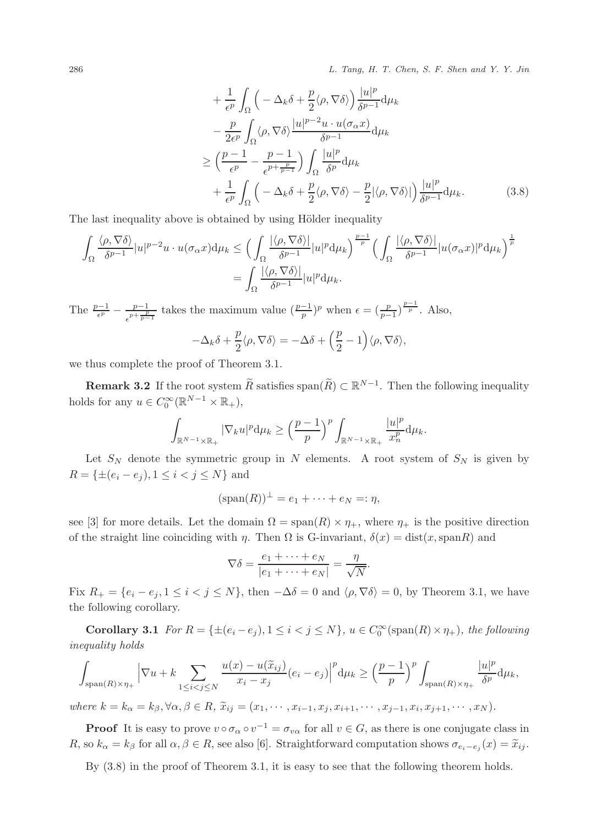286 L. Tang, H. T. Chen, S. F. Shen and Y. Y. Jin

$$
+\frac{1}{\epsilon^p} \int_{\Omega} \left( -\Delta_k \delta + \frac{p}{2} \langle \rho, \nabla \delta \rangle \right) \frac{|u|^p}{\delta^{p-1}} d\mu_k -\frac{p}{2\epsilon^p} \int_{\Omega} \langle \rho, \nabla \delta \rangle \frac{|u|^{p-2} u \cdot u(\sigma_\alpha x)}{\delta^{p-1}} d\mu_k \ge \left( \frac{p-1}{\epsilon^p} - \frac{p-1}{\epsilon^{p+\frac{p}{p-1}}} \right) \int_{\Omega} \frac{|u|^p}{\delta^p} d\mu_k +\frac{1}{\epsilon^p} \int_{\Omega} \left( -\Delta_k \delta + \frac{p}{2} \langle \rho, \nabla \delta \rangle - \frac{p}{2} |\langle \rho, \nabla \delta \rangle| \right) \frac{|u|^p}{\delta^{p-1}} d\mu_k.
$$
 (3.8)

The last inequality above is obtained by using Hölder inequality

$$
\int_{\Omega} \frac{\langle \rho, \nabla \delta \rangle}{\delta^{p-1}} |u|^{p-2} u \cdot u(\sigma_{\alpha} x) d\mu_k \leq \Big( \int_{\Omega} \frac{|\langle \rho, \nabla \delta \rangle|}{\delta^{p-1}} |u|^p d\mu_k \Big)^{\frac{p-1}{p}} \Big( \int_{\Omega} \frac{|\langle \rho, \nabla \delta \rangle|}{\delta^{p-1}} |u(\sigma_{\alpha} x)|^p d\mu_k \Big)^{\frac{1}{p}} \n= \int_{\Omega} \frac{|\langle \rho, \nabla \delta \rangle|}{\delta^{p-1}} |u|^p d\mu_k.
$$

The  $\frac{p-1}{\epsilon^p} - \frac{p-1}{\epsilon^{p+\frac{p}{p-1}}}$  $\frac{p-1}{\epsilon^{p+\frac{p}{p-1}}}$  takes the maximum value  $(\frac{p-1}{p})^p$  when  $\epsilon = (\frac{p}{p-1})^{\frac{p-1}{p}}$ . Also,

$$
-\Delta_k \delta + \frac{p}{2} \langle \rho, \nabla \delta \rangle = -\Delta \delta + \left(\frac{p}{2} - 1\right) \langle \rho, \nabla \delta \rangle,
$$

we thus complete the proof of Theorem 3.1.

**Remark 3.2** If the root system  $\widetilde{R}$  satisfies span $(\widetilde{R}) \subset \mathbb{R}^{N-1}$ . Then the following inequality holds for any  $u \in C_0^{\infty}(\mathbb{R}^{N-1} \times \mathbb{R}_+),$ 

$$
\int_{\mathbb{R}^{N-1}\times\mathbb{R}_+}|\nabla_k u|^p\mathrm{d}\mu_k \ge \left(\frac{p-1}{p}\right)^p \int_{\mathbb{R}^{N-1}\times\mathbb{R}_+} \frac{|u|^p}{x_n^p}\mathrm{d}\mu_k.
$$

Let  $S_N$  denote the symmetric group in N elements. A root system of  $S_N$  is given by  $R = \{\pm (e_i - e_j), 1 \leq i < j \leq N\}$  and

$$
(\operatorname{span}(R))^{\perp} = e_1 + \cdots + e_N =: \eta,
$$

see [3] for more details. Let the domain  $\Omega = \text{span}(R) \times \eta_+$ , where  $\eta_+$  is the positive direction of the straight line coinciding with  $\eta$ . Then  $\Omega$  is G-invariant,  $\delta(x) = \text{dist}(x, \text{span}R)$  and

$$
\nabla \delta = \frac{e_1 + \dots + e_N}{|e_1 + \dots + e_N|} = \frac{\eta}{\sqrt{N}}.
$$

Fix  $R_+ = \{e_i - e_j, 1 \leq i < j \leq N\}$ , then  $-\Delta\delta = 0$  and  $\langle \rho, \nabla\delta \rangle = 0$ , by Theorem 3.1, we have the following corollary.

**Corollary 3.1** For  $R = \{\pm (e_i - e_j), 1 \le i < j \le N\}$ ,  $u \in C_0^{\infty}(\text{span}(R) \times \eta_+)$ , the following inequality holds

Z span(R)×η<sup>+</sup> <sup>∇</sup><sup>u</sup> <sup>+</sup> <sup>k</sup> X 1≤i<j≤N <sup>u</sup>(x) <sup>−</sup> <sup>u</sup>(xeij ) x<sup>i</sup> − x<sup>j</sup> (e<sup>i</sup> − e<sup>j</sup> ) p dµ<sup>k</sup> ≥ p − 1 p p span(R)×η<sup>+</sup> |u| p δ p dµk,

where  $k = k_{\alpha} = k_{\beta}, \forall \alpha, \beta \in R$ ,  $\widetilde{x}_{ij} = (x_1, \dots, x_{i-1}, x_j, x_{i+1}, \dots, x_{j-1}, x_i, x_{j+1}, \dots, x_N)$ .

**Proof** It is easy to prove  $v \circ \sigma_\alpha \circ v^{-1} = \sigma_{v\alpha}$  for all  $v \in G$ , as there is one conjugate class in R, so  $k_{\alpha} = k_{\beta}$  for all  $\alpha, \beta \in R$ , see also [6]. Straightforward computation shows  $\sigma_{e_i-e_j}(x) = \tilde{x}_{ij}$ .

By  $(3.8)$  in the proof of Theorem 3.1, it is easy to see that the following theorem holds.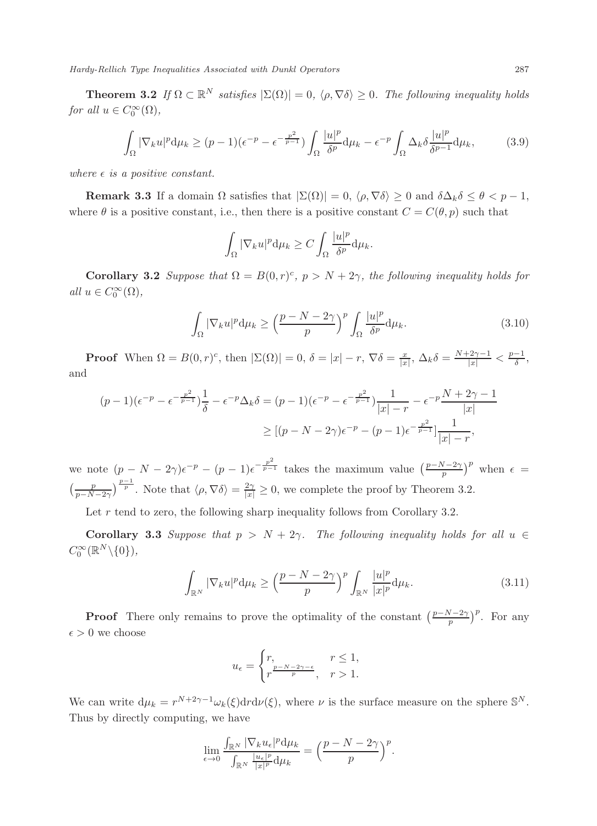**Theorem 3.2** If  $\Omega \subset \mathbb{R}^N$  satisfies  $|\Sigma(\Omega)| = 0$ ,  $\langle \rho, \nabla \delta \rangle \geq 0$ . The following inequality holds for all  $u \in C_0^{\infty}(\Omega)$ ,

$$
\int_{\Omega} |\nabla_k u|^p d\mu_k \ge (p-1)(\epsilon^{-p} - \epsilon^{-\frac{p^2}{p-1}}) \int_{\Omega} \frac{|u|^p}{\delta^p} d\mu_k - \epsilon^{-p} \int_{\Omega} \Delta_k \delta \frac{|u|^p}{\delta^{p-1}} d\mu_k, \tag{3.9}
$$

where  $\epsilon$  is a positive constant.

**Remark 3.3** If a domain  $\Omega$  satisfies that  $|\Sigma(\Omega)| = 0$ ,  $\langle \rho, \nabla \delta \rangle \geq 0$  and  $\delta \Delta_k \delta \leq \theta < p-1$ , where  $\theta$  is a positive constant, i.e., then there is a positive constant  $C = C(\theta, p)$  such that

$$
\int_{\Omega} |\nabla_k u|^p \, \mathrm{d}\mu_k \ge C \int_{\Omega} \frac{|u|^p}{\delta^p} \, \mathrm{d}\mu_k.
$$

**Corollary 3.2** Suppose that  $\Omega = B(0, r)^c$ ,  $p > N + 2\gamma$ , the following inequality holds for all  $u \in C_0^{\infty}(\Omega)$ ,

$$
\int_{\Omega} |\nabla_k u|^p \, \mathrm{d}\mu_k \ge \left(\frac{p - N - 2\gamma}{p}\right)^p \int_{\Omega} \frac{|u|^p}{\delta^p} \, \mathrm{d}\mu_k. \tag{3.10}
$$

**Proof** When  $\Omega = B(0, r)^c$ , then  $|\Sigma(\Omega)| = 0$ ,  $\delta = |x| - r$ ,  $\nabla \delta = \frac{x}{|x|}$ ,  $\Delta_k \delta = \frac{N + 2\gamma - 1}{|x|} < \frac{p-1}{\delta}$ , and

$$
(p-1)(\epsilon^{-p} - \epsilon^{-\frac{p^2}{p-1}})\frac{1}{\delta} - \epsilon^{-p}\Delta_k \delta = (p-1)(\epsilon^{-p} - \epsilon^{-\frac{p^2}{p-1}})\frac{1}{|x| - r} - \epsilon^{-p}\frac{N + 2\gamma - 1}{|x|}
$$
  
 
$$
\geq [(p - N - 2\gamma)\epsilon^{-p} - (p-1)\epsilon^{-\frac{p^2}{p-1}}]\frac{1}{|x| - r},
$$

we note  $(p - N - 2\gamma)\epsilon^{-p} - (p - 1)\epsilon^{-\frac{p^2}{p-1}}$  takes the maximum value  $(\frac{p-N-2\gamma}{p})^p$  when  $\epsilon =$  $\left(\frac{p}{p-N-2\gamma}\right)^{\frac{p-1}{p}}$ . Note that  $\langle \rho, \nabla \delta \rangle = \frac{2\gamma}{|x|} \geq 0$ , we complete the proof by Theorem 3.2.

Let  $r$  tend to zero, the following sharp inequality follows from Corollary 3.2.

Corollary 3.3 Suppose that  $p > N + 2\gamma$ . The following inequality holds for all  $u \in$  $C_0^{\infty}(\mathbb{R}^N\backslash\{0\}),$ 

$$
\int_{\mathbb{R}^N} |\nabla_k u|^p \, \mathrm{d}\mu_k \ge \left(\frac{p - N - 2\gamma}{p}\right)^p \int_{\mathbb{R}^N} \frac{|u|^p}{|x|^p} \, \mathrm{d}\mu_k. \tag{3.11}
$$

**Proof** There only remains to prove the optimality of the constant  $\left(\frac{p-N-2\gamma}{p}\right)^p$ . For any  $\epsilon > 0$  we choose

$$
u_\epsilon = \begin{cases} r, & r \leq 1, \\ r^{\frac{p-N-2\gamma-\epsilon}{p}}, & r > 1. \end{cases}
$$

We can write  $d\mu_k = r^{N+2\gamma-1}\omega_k(\xi) dr d\nu(\xi)$ , where  $\nu$  is the surface measure on the sphere  $\mathbb{S}^N$ . Thus by directly computing, we have

$$
\lim_{\epsilon \to 0} \frac{\int_{\mathbb{R}^N} |\nabla_k u_{\epsilon}|^p d\mu_k}{\int_{\mathbb{R}^N} \frac{|u_{\epsilon}|^p}{|x|^p} d\mu_k} = \left(\frac{p-N-2\gamma}{p}\right)^p.
$$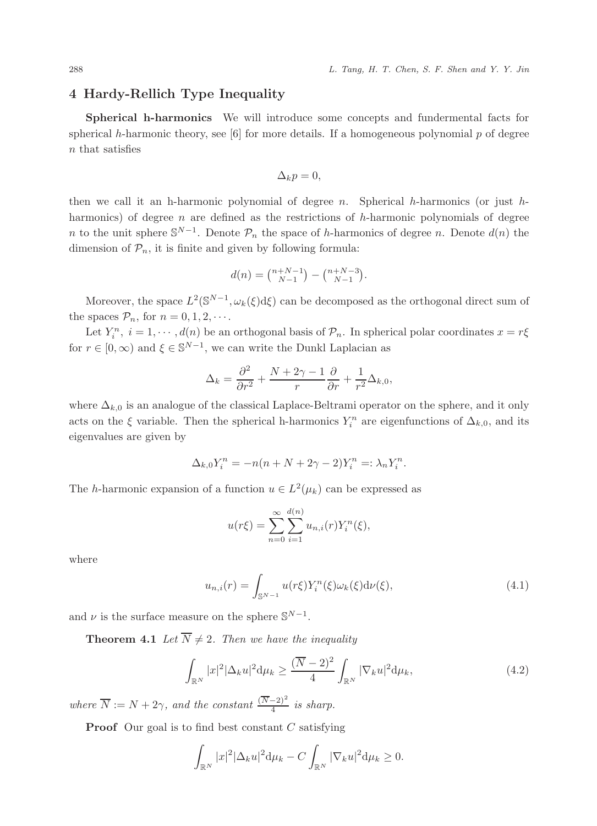### 4 Hardy-Rellich Type Inequality

Spherical h-harmonics We will introduce some concepts and fundermental facts for spherical h-harmonic theory, see [6] for more details. If a homogeneous polynomial  $p$  of degree n that satisfies

$$
\Delta_k p = 0,
$$

then we call it an h-harmonic polynomial of degree  $n$ . Spherical h-harmonics (or just hharmonics) of degree  $n$  are defined as the restrictions of  $h$ -harmonic polynomials of degree n to the unit sphere  $\mathbb{S}^{N-1}$ . Denote  $\mathcal{P}_n$  the space of h-harmonics of degree n. Denote  $d(n)$  the dimension of  $\mathcal{P}_n$ , it is finite and given by following formula:

$$
d(n) = \binom{n+N-1}{N-1} - \binom{n+N-3}{N-1}.
$$

Moreover, the space  $L^2(\mathbb{S}^{N-1}, \omega_k(\xi)d\xi)$  can be decomposed as the orthogonal direct sum of the spaces  $\mathcal{P}_n$ , for  $n = 0, 1, 2, \cdots$ .

Let  $Y_i^n$ ,  $i = 1, \dots, d(n)$  be an orthogonal basis of  $\mathcal{P}_n$ . In spherical polar coordinates  $x = r\xi$ for  $r \in [0, \infty)$  and  $\xi \in \mathbb{S}^{N-1}$ , we can write the Dunkl Laplacian as

$$
\Delta_k = \frac{\partial^2}{\partial r^2} + \frac{N + 2\gamma - 1}{r} \frac{\partial}{\partial r} + \frac{1}{r^2} \Delta_{k,0},
$$

where  $\Delta_{k,0}$  is an analogue of the classical Laplace-Beltrami operator on the sphere, and it only acts on the  $\xi$  variable. Then the spherical h-harmonics  $Y_i^n$  are eigenfunctions of  $\Delta_{k,0}$ , and its eigenvalues are given by

$$
\Delta_{k,0}Y_i^n = -n(n+N+2\gamma-2)Y_i^n =: \lambda_n Y_i^n.
$$

The *h*-harmonic expansion of a function  $u \in L^2(\mu_k)$  can be expressed as

$$
u(r\xi) = \sum_{n=0}^{\infty} \sum_{i=1}^{d(n)} u_{n,i}(r) Y_i^n(\xi),
$$

where

$$
u_{n,i}(r) = \int_{\mathbb{S}^{N-1}} u(r\xi) Y_i^n(\xi) \omega_k(\xi) d\nu(\xi), \tag{4.1}
$$

and  $\nu$  is the surface measure on the sphere  $\mathbb{S}^{N-1}$ .

**Theorem 4.1** Let  $\overline{N} \neq 2$ . Then we have the inequality

$$
\int_{\mathbb{R}^N} |x|^2 |\Delta_k u|^2 d\mu_k \ge \frac{(\overline{N} - 2)^2}{4} \int_{\mathbb{R}^N} |\nabla_k u|^2 d\mu_k,\tag{4.2}
$$

where  $\overline{N} := N + 2\gamma$ , and the constant  $\frac{(\overline{N}-2)^2}{4}$  is sharp.

**Proof** Our goal is to find best constant  $C$  satisfying

$$
\int_{\mathbb{R}^N} |x|^2 |\Delta_k u|^2 \mathrm{d} \mu_k - C \int_{\mathbb{R}^N} |\nabla_k u|^2 \mathrm{d} \mu_k \ge 0.
$$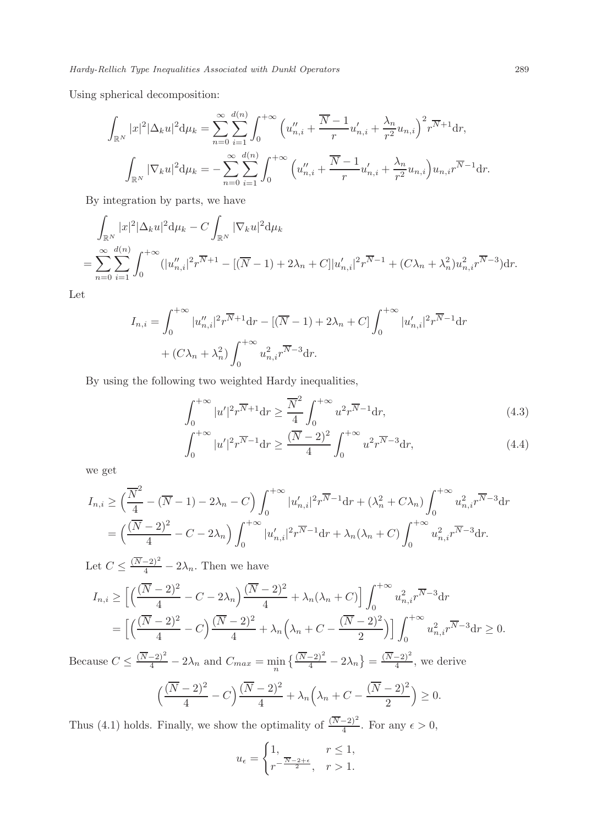Using spherical decomposition:

$$
\int_{\mathbb{R}^N} |x|^2 |\Delta_k u|^2 d\mu_k = \sum_{n=0}^{\infty} \sum_{i=1}^{d(n)} \int_0^{+\infty} \left( u''_{n,i} + \frac{\overline{N} - 1}{r} u'_{n,i} + \frac{\lambda_n}{r^2} u_{n,i} \right)^2 r^{\overline{N} + 1} dr,
$$

$$
\int_{\mathbb{R}^N} |\nabla_k u|^2 d\mu_k = - \sum_{n=0}^{\infty} \sum_{i=1}^{d(n)} \int_0^{+\infty} \left( u''_{n,i} + \frac{\overline{N} - 1}{r} u'_{n,i} + \frac{\lambda_n}{r^2} u_{n,i} \right) u_{n,i} r^{\overline{N} - 1} dr.
$$

By integration by parts, we have

$$
\int_{\mathbb{R}^N} |x|^2 |\Delta_k u|^2 d\mu_k - C \int_{\mathbb{R}^N} |\nabla_k u|^2 d\mu_k
$$
\n
$$
= \sum_{n=0}^{\infty} \sum_{i=1}^{d(n)} \int_0^{+\infty} (|u''_{n,i}|^2 r^{\overline{N}+1} - [(\overline{N}-1) + 2\lambda_n + C]|u'_{n,i}|^2 r^{\overline{N}-1} + (C\lambda_n + \lambda_n^2) u_{n,i}^2 r^{\overline{N}-3}) dr.
$$

Let

$$
I_{n,i} = \int_0^{+\infty} |u''_{n,i}|^2 r^{\overline{N}+1} dr - [(\overline{N}-1) + 2\lambda_n + C] \int_0^{+\infty} |u'_{n,i}|^2 r^{\overline{N}-1} dr
$$
  
+  $(C\lambda_n + \lambda_n^2) \int_0^{+\infty} u_{n,i}^2 r^{\overline{N}-3} dr.$ 

By using the following two weighted Hardy inequalities,

$$
\int_0^{+\infty} |u'|^2 r^{\overline{N}+1} dr \ge \frac{\overline{N}^2}{4} \int_0^{+\infty} u^2 r^{\overline{N}-1} dr,\tag{4.3}
$$

$$
\int_0^{+\infty} |u'|^2 r^{\overline{N}-1} dr \ge \frac{(\overline{N}-2)^2}{4} \int_0^{+\infty} u^2 r^{\overline{N}-3} dr,\tag{4.4}
$$

we get

$$
I_{n,i} \geq \left(\frac{\overline{N}^2}{4} - (\overline{N} - 1) - 2\lambda_n - C\right) \int_0^{+\infty} |u'_{n,i}|^2 r^{\overline{N} - 1} dr + (\lambda_n^2 + C\lambda_n) \int_0^{+\infty} u_{n,i}^2 r^{\overline{N} - 3} dr
$$
  
=  $\left(\frac{(\overline{N} - 2)^2}{4} - C - 2\lambda_n\right) \int_0^{+\infty} |u'_{n,i}|^2 r^{\overline{N} - 1} dr + \lambda_n (\lambda_n + C) \int_0^{+\infty} u_{n,i}^2 r^{\overline{N} - 3} dr.$ 

Let  $C \leq \frac{(\overline{N-2})^2}{4} - 2\lambda_n$ . Then we have

$$
I_{n,i} \ge \left[ \left( \frac{(\overline{N} - 2)^2}{4} - C - 2\lambda_n \right) \frac{(\overline{N} - 2)^2}{4} + \lambda_n (\lambda_n + C) \right] \int_0^{+\infty} u_{n,i}^2 r^{\overline{N} - 3} dr
$$
  
=  $\left[ \left( \frac{(\overline{N} - 2)^2}{4} - C \right) \frac{(\overline{N} - 2)^2}{4} + \lambda_n \left( \lambda_n + C - \frac{(\overline{N} - 2)^2}{2} \right) \right] \int_0^{+\infty} u_{n,i}^2 r^{\overline{N} - 3} dr \ge 0.$ 

Because  $C \leq \frac{(\overline{N}-2)^2}{4} - 2\lambda_n$  and  $C_{max} = \min_n \left\{ \frac{(\overline{N}-2)^2}{4} - 2\lambda_n \right\} = \frac{(\overline{N}-2)^2}{4}$  $\frac{-2j}{4}$ , we derive

$$
\left(\frac{(\overline{N}-2)^2}{4}-C\right)\frac{(\overline{N}-2)^2}{4}+\lambda_n\left(\lambda_n+C-\frac{(\overline{N}-2)^2}{2}\right)\geq 0.
$$

Thus (4.1) holds. Finally, we show the optimality of  $\frac{(\overline{N}-2)^2}{4}$ . For any  $\epsilon > 0$ ,

$$
u_{\epsilon} = \begin{cases} 1, & r \le 1, \\ r^{-\frac{\overline{N}-2+\epsilon}{2}}, & r > 1. \end{cases}
$$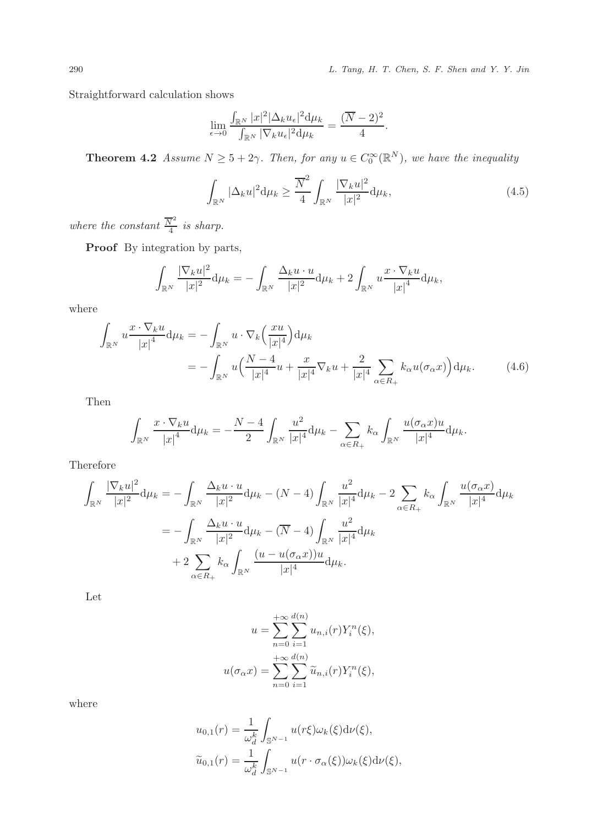290 L. Tang, H. T. Chen, S. F. Shen and Y. Y. Jin

Straightforward calculation shows

$$
\lim_{\epsilon \to 0} \frac{\int_{\mathbb{R}^N} |x|^2 |\Delta_k u_{\epsilon}|^2 d\mu_k}{\int_{\mathbb{R}^N} |\nabla_k u_{\epsilon}|^2 d\mu_k} = \frac{(\overline{N} - 2)^2}{4}.
$$

**Theorem 4.2** Assume  $N \ge 5 + 2\gamma$ . Then, for any  $u \in C_0^{\infty}(\mathbb{R}^N)$ , we have the inequality

$$
\int_{\mathbb{R}^N} |\Delta_k u|^2 \mathrm{d} \mu_k \ge \frac{\overline{N}^2}{4} \int_{\mathbb{R}^N} \frac{|\nabla_k u|^2}{|x|^2} \mathrm{d} \mu_k,\tag{4.5}
$$

where the constant  $\frac{\overline{N}^2}{4}$  $rac{v}{4}$  is sharp.

Proof By integration by parts,

$$
\int_{\mathbb{R}^N} \frac{|\nabla_k u|^2}{|x|^2} d\mu_k = -\int_{\mathbb{R}^N} \frac{\Delta_k u \cdot u}{|x|^2} d\mu_k + 2 \int_{\mathbb{R}^N} u \frac{x \cdot \nabla_k u}{|x|^4} d\mu_k,
$$

where

$$
\int_{\mathbb{R}^N} u \frac{x \cdot \nabla_k u}{|x|^4} d\mu_k = -\int_{\mathbb{R}^N} u \cdot \nabla_k \left(\frac{xu}{|x|^4}\right) d\mu_k
$$
\n
$$
= -\int_{\mathbb{R}^N} u \left(\frac{N-4}{|x|^4} u + \frac{x}{|x|^4} \nabla_k u + \frac{2}{|x|^4} \sum_{\alpha \in R_+} k_\alpha u(\sigma_\alpha x)\right) d\mu_k. \tag{4.6}
$$

Then

$$
\int_{\mathbb{R}^N} \frac{x \cdot \nabla_k u}{|x|^4} d\mu_k = -\frac{N-4}{2} \int_{\mathbb{R}^N} \frac{u^2}{|x|^4} d\mu_k - \sum_{\alpha \in R_+} k_\alpha \int_{\mathbb{R}^N} \frac{u(\sigma_\alpha x)u}{|x|^4} d\mu_k.
$$

Therefore

$$
\int_{\mathbb{R}^N} \frac{|\nabla_k u|^2}{|x|^2} d\mu_k = -\int_{\mathbb{R}^N} \frac{\Delta_k u \cdot u}{|x|^2} d\mu_k - (N-4) \int_{\mathbb{R}^N} \frac{u^2}{|x|^4} d\mu_k - 2 \sum_{\alpha \in R_+} k_\alpha \int_{\mathbb{R}^N} \frac{u(\sigma_\alpha x)}{|x|^4} d\mu_k \n= -\int_{\mathbb{R}^N} \frac{\Delta_k u \cdot u}{|x|^2} d\mu_k - (\overline{N} - 4) \int_{\mathbb{R}^N} \frac{u^2}{|x|^4} d\mu_k \n+ 2 \sum_{\alpha \in R_+} k_\alpha \int_{\mathbb{R}^N} \frac{(u - u(\sigma_\alpha x))u}{|x|^4} d\mu_k.
$$

Let

$$
u = \sum_{n=0}^{+\infty} \sum_{i=1}^{d(n)} u_{n,i}(r) Y_i^n(\xi),
$$
  

$$
u(\sigma_\alpha x) = \sum_{n=0}^{+\infty} \sum_{i=1}^{d(n)} \widetilde{u}_{n,i}(r) Y_i^n(\xi),
$$

where

$$
u_{0,1}(r) = \frac{1}{\omega_d^k} \int_{\mathbb{S}^{N-1}} u(r\xi) \omega_k(\xi) d\nu(\xi),
$$
  

$$
\tilde{u}_{0,1}(r) = \frac{1}{\omega_d^k} \int_{\mathbb{S}^{N-1}} u(r \cdot \sigma_\alpha(\xi)) \omega_k(\xi) d\nu(\xi),
$$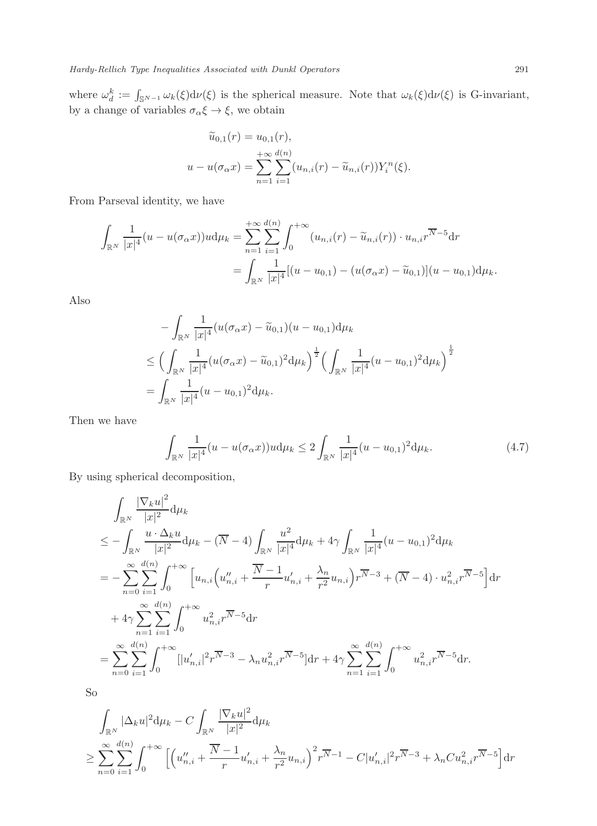where  $\omega_d^k := \int_{\mathbb{S}^{N-1}} \omega_k(\xi) d\nu(\xi)$  is the spherical measure. Note that  $\omega_k(\xi) d\nu(\xi)$  is G-invariant, by a change of variables  $\sigma_{\alpha} \xi \to \xi$ , we obtain

$$
\widetilde{u}_{0,1}(r) = u_{0,1}(r), \nu - u(\sigma_{\alpha} x) = \sum_{n=1}^{+\infty} \sum_{i=1}^{d(n)} (u_{n,i}(r) - \widetilde{u}_{n,i}(r)) Y_i^n(\xi).
$$

From Parseval identity, we have

$$
\int_{\mathbb{R}^N} \frac{1}{|x|^4} (u - u(\sigma_\alpha x))u d\mu_k = \sum_{n=1}^{+\infty} \sum_{i=1}^{d(n)} \int_0^{+\infty} (u_{n,i}(r) - \widetilde{u}_{n,i}(r)) \cdot u_{n,i}r^{\overline{N}-5} dr \n= \int_{\mathbb{R}^N} \frac{1}{|x|^4} [(u - u_{0,1}) - (u(\sigma_\alpha x) - \widetilde{u}_{0,1})](u - u_{0,1}) d\mu_k.
$$

Also

$$
- \int_{\mathbb{R}^N} \frac{1}{|x|^4} (u(\sigma_\alpha x) - \widetilde{u}_{0,1})(u - u_{0,1}) d\mu_k
$$
  
\n
$$
\leq \Big( \int_{\mathbb{R}^N} \frac{1}{|x|^4} (u(\sigma_\alpha x) - \widetilde{u}_{0,1})^2 d\mu_k \Big)^{\frac{1}{2}} \Big( \int_{\mathbb{R}^N} \frac{1}{|x|^4} (u - u_{0,1})^2 d\mu_k \Big)^{\frac{1}{2}}
$$
  
\n
$$
= \int_{\mathbb{R}^N} \frac{1}{|x|^4} (u - u_{0,1})^2 d\mu_k.
$$

Then we have

$$
\int_{\mathbb{R}^N} \frac{1}{|x|^4} (u - u(\sigma_\alpha x))u \, d\mu_k \le 2 \int_{\mathbb{R}^N} \frac{1}{|x|^4} (u - u_{0,1})^2 \, d\mu_k. \tag{4.7}
$$

By using spherical decomposition,

$$
\int_{\mathbb{R}^N} \frac{|\nabla_k u|^2}{|x|^2} d\mu_k
$$
\n
$$
\leq -\int_{\mathbb{R}^N} \frac{u \cdot \Delta_k u}{|x|^2} d\mu_k - (\overline{N} - 4) \int_{\mathbb{R}^N} \frac{u^2}{|x|^4} d\mu_k + 4\gamma \int_{\mathbb{R}^N} \frac{1}{|x|^4} (u - u_{0,1})^2 d\mu_k
$$
\n
$$
= -\sum_{n=0}^{\infty} \sum_{i=1}^{d(n)} \int_0^{+\infty} \left[ u_{n,i} \left( u_{n,i}'' + \frac{\overline{N} - 1}{r} u_{n,i}' + \frac{\lambda_n}{r^2} u_{n,i} \right) r^{\overline{N} - 3} + (\overline{N} - 4) \cdot u_{n,i}^2 r^{\overline{N} - 5} \right] dr
$$
\n
$$
+ 4\gamma \sum_{n=1}^{\infty} \sum_{i=1}^{d(n)} \int_0^{+\infty} u_{n,i}^2 r^{\overline{N} - 5} dr
$$
\n
$$
= \sum_{n=0}^{\infty} \sum_{i=1}^{d(n)} \int_0^{+\infty} [|u_{n,i}'|^2 r^{\overline{N} - 3} - \lambda_n u_{n,i}^2 r^{\overline{N} - 5}] dr + 4\gamma \sum_{n=1}^{\infty} \sum_{i=1}^{d(n)} \int_0^{+\infty} u_{n,i}^2 r^{\overline{N} - 5} dr.
$$

So

$$
\int_{\mathbb{R}^N} |\Delta_k u|^2 d\mu_k - C \int_{\mathbb{R}^N} \frac{|\nabla_k u|^2}{|x|^2} d\mu_k
$$
\n
$$
\geq \sum_{n=0}^{\infty} \sum_{i=1}^{d(n)} \int_0^{+\infty} \left[ \left( u_{n,i}'' + \frac{\overline{N} - 1}{r} u_{n,i}' + \frac{\lambda_n}{r^2} u_{n,i} \right)^2 r^{\overline{N} - 1} - C |u_{n,i}'|^2 r^{\overline{N} - 3} + \lambda_n C u_{n,i}^2 r^{\overline{N} - 5} \right] dr
$$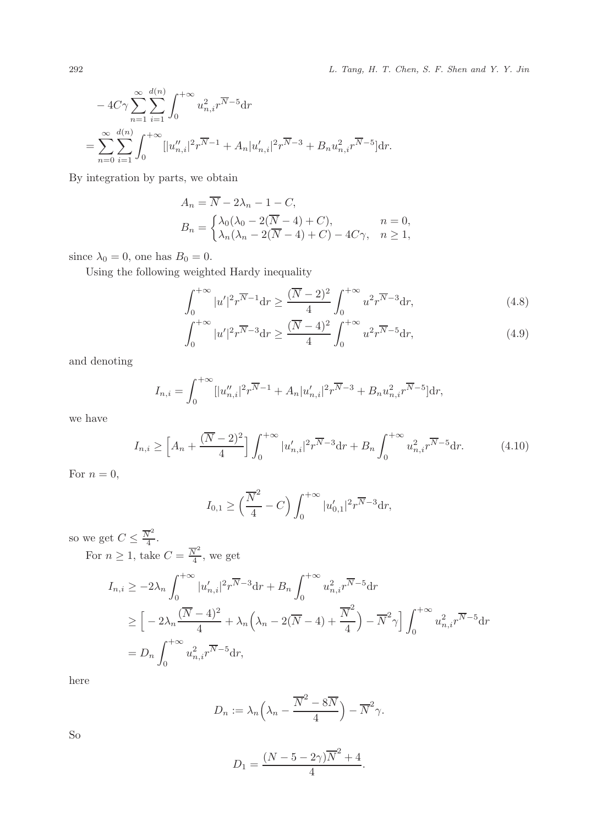292 L. Tang, H. T. Chen, S. F. Shen and Y. Y. Jin

$$
-4C\gamma \sum_{n=1}^{\infty} \sum_{i=1}^{d(n)} \int_{0}^{+\infty} u_{n,i}^{2} r^{\overline{N}-5} dr
$$
  
=
$$
\sum_{n=0}^{\infty} \sum_{i=1}^{d(n)} \int_{0}^{+\infty} [|u''_{n,i}|^{2} r^{\overline{N}-1} + A_{n}|u'_{n,i}|^{2} r^{\overline{N}-3} + B_{n} u_{n,i}^{2} r^{\overline{N}-5}] dr.
$$

By integration by parts, we obtain

$$
A_n = \overline{N} - 2\lambda_n - 1 - C,
$$
  
\n
$$
B_n = \begin{cases} \lambda_0(\lambda_0 - 2(\overline{N} - 4) + C), & n = 0, \\ \lambda_n(\lambda_n - 2(\overline{N} - 4) + C) - 4C\gamma, & n \ge 1, \end{cases}
$$

since  $\lambda_0 = 0$ , one has  $B_0 = 0$ .

Using the following weighted Hardy inequality

$$
\int_0^{+\infty} |u'|^2 r^{\overline{N}-1} dr \ge \frac{(\overline{N}-2)^2}{4} \int_0^{+\infty} u^2 r^{\overline{N}-3} dr,\tag{4.8}
$$

$$
\int_0^{+\infty} |u'|^2 r^{\overline{N}-3} \mathrm{d}r \ge \frac{(\overline{N}-4)^2}{4} \int_0^{+\infty} u^2 r^{\overline{N}-5} \mathrm{d}r,\tag{4.9}
$$

and denoting

$$
I_{n,i} = \int_0^{+\infty} [|u''_{n,i}|^2 r^{\overline{N}-1} + A_n |u'_{n,i}|^2 r^{\overline{N}-3} + B_n u_{n,i}^2 r^{\overline{N}-5}] dr,
$$

we have

$$
I_{n,i} \ge \left[A_n + \frac{(\overline{N} - 2)^2}{4}\right] \int_0^{+\infty} |u'_{n,i}|^2 r^{\overline{N} - 3} dr + B_n \int_0^{+\infty} u_{n,i}^2 r^{\overline{N} - 5} dr. \tag{4.10}
$$

For  $n = 0$ ,

$$
I_{0,1} \ge \left(\frac{\overline{N}^2}{4} - C\right) \int_0^{+\infty} |u'_{0,1}|^2 r^{\overline{N}-3} dr,
$$

so we get  $C \leq \frac{\overline{N}^2}{4}$  $\frac{v}{4}$ .

For  $n \geq 1$ , take  $C = \frac{\overline{N}^2}{4}$  $\frac{\sqrt{4}}{4}$ , we get

$$
I_{n,i} \ge -2\lambda_n \int_0^{+\infty} |u'_{n,i}|^2 r^{\overline{N}-3} dr + B_n \int_0^{+\infty} u_{n,i}^2 r^{\overline{N}-5} dr
$$
  
\n
$$
\ge \left[ -2\lambda_n \frac{(\overline{N}-4)^2}{4} + \lambda_n \left( \lambda_n - 2(\overline{N}-4) + \frac{\overline{N}^2}{4} \right) - \overline{N}^2 \gamma \right] \int_0^{+\infty} u_{n,i}^2 r^{\overline{N}-5} dr
$$
  
\n
$$
= D_n \int_0^{+\infty} u_{n,i}^2 r^{\overline{N}-5} dr,
$$

here

$$
D_n := \lambda_n \left(\lambda_n - \frac{\overline{N}^2 - 8\overline{N}}{4}\right) - \overline{N}^2 \gamma.
$$

So

$$
D_1 = \frac{(N-5-2\gamma)\overline{N}^2 + 4}{4}.
$$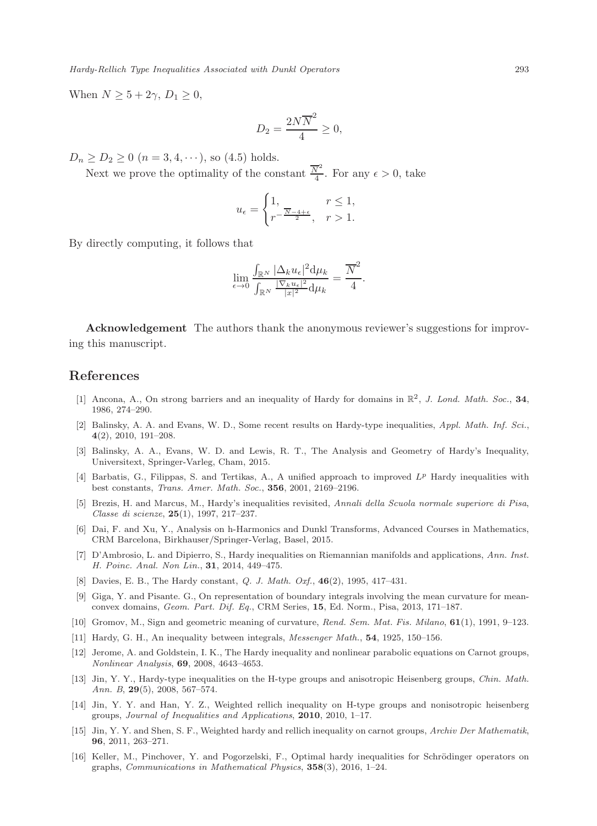When  $N \geq 5 + 2\gamma$ ,  $D_1 \geq 0$ ,

$$
D_2 = \frac{2N\overline{N}^2}{4} \ge 0,
$$

 $D_n \ge D_2 \ge 0$   $(n = 3, 4, \cdots)$ , so (4.5) holds.

Next we prove the optimality of the constant  $\frac{\overline{N}^2}{4}$  $\frac{\sqrt{4}}{4}$ . For any  $\epsilon > 0$ , take

$$
u_{\epsilon} = \begin{cases} 1, & r \le 1, \\ r^{-\frac{\overline{N}-4+\epsilon}{2}}, & r > 1. \end{cases}
$$

By directly computing, it follows that

$$
\lim_{\epsilon \to 0} \frac{\int_{\mathbb{R}^N} |\Delta_k u_{\epsilon}|^2 d\mu_k}{\int_{\mathbb{R}^N} \frac{|\nabla_k u_{\epsilon}|^2}{|x|^2} d\mu_k} = \frac{\overline{N}^2}{4}.
$$

Acknowledgement The authors thank the anonymous reviewer's suggestions for improving this manuscript.

#### References

- [1] Ancona, A., On strong barriers and an inequality of Hardy for domains in  $\mathbb{R}^2$ , J. Lond. Math. Soc., 34, 1986, 274–290.
- [2] Balinsky, A. A. and Evans, W. D., Some recent results on Hardy-type inequalities, Appl. Math. Inf. Sci., 4(2), 2010, 191–208.
- [3] Balinsky, A. A., Evans, W. D. and Lewis, R. T., The Analysis and Geometry of Hardy's Inequality, Universitext, Springer-Varleg, Cham, 2015.
- [4] Barbatis, G., Filippas, S. and Tertikas, A., A unified approach to improved  $L^p$  Hardy inequalities with best constants, Trans. Amer. Math. Soc., 356, 2001, 2169–2196.
- [5] Brezis, H. and Marcus, M., Hardy's inequalities revisited, Annali della Scuola normale superiore di Pisa, Classe di scienze, 25(1), 1997, 217–237.
- [6] Dai, F. and Xu, Y., Analysis on h-Harmonics and Dunkl Transforms, Advanced Courses in Mathematics, CRM Barcelona, Birkhauser/Springer-Verlag, Basel, 2015.
- [7] D'Ambrosio, L. and Dipierro, S., Hardy inequalities on Riemannian manifolds and applications, Ann. Inst. H. Poinc. Anal. Non Lin., 31, 2014, 449–475.
- [8] Davies, E. B., The Hardy constant, Q. J. Math. Oxf., 46(2), 1995, 417–431.
- [9] Giga, Y. and Pisante. G., On representation of boundary integrals involving the mean curvature for meanconvex domains, Geom. Part. Dif. Eq., CRM Series, 15, Ed. Norm., Pisa, 2013, 171–187.
- [10] Gromov, M., Sign and geometric meaning of curvature, Rend. Sem. Mat. Fis. Milano, 61(1), 1991, 9–123.
- [11] Hardy, G. H., An inequality between integrals, Messenger Math., 54, 1925, 150–156.
- [12] Jerome, A. and Goldstein, I. K., The Hardy inequality and nonlinear parabolic equations on Carnot groups, Nonlinear Analysis, 69, 2008, 4643–4653.
- [13] Jin, Y. Y., Hardy-type inequalities on the H-type groups and anisotropic Heisenberg groups, Chin. Math. Ann. B, 29(5), 2008, 567–574.
- [14] Jin, Y. Y. and Han, Y. Z., Weighted rellich inequality on H-type groups and nonisotropic heisenberg groups, Journal of Inequalities and Applications, 2010, 2010, 1–17.
- [15] Jin, Y. Y. and Shen, S. F., Weighted hardy and rellich inequality on carnot groups, Archiv Der Mathematik, 96, 2011, 263–271.
- [16] Keller, M., Pinchover, Y. and Pogorzelski, F., Optimal hardy inequalities for Schrödinger operators on graphs, *Communications in Mathematical Physics*,  $358(3)$ ,  $2016$ ,  $1-24$ .